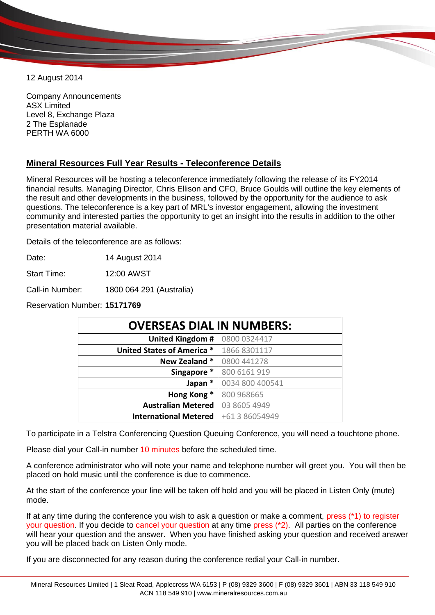12 August 2014

Company Announcements ASX Limited Level 8, Exchange Plaza 2 The Esplanade PERTH WA 6000

## **Mineral Resources Full Year Results - Teleconference Details**

Mineral Resources will be hosting a teleconference immediately following the release of its FY2014 financial results. Managing Director, Chris Ellison and CFO, Bruce Goulds will outline the key elements of the result and other developments in the business, followed by the opportunity for the audience to ask questions. The teleconference is a key part of MRL's investor engagement, allowing the investment community and interested parties the opportunity to get an insight into the results in addition to the other presentation material available.

Details of the teleconference are as follows:

Date: 14 August 2014

Start Time: 12:00 AWST

Call-in Number: 1800 064 291 (Australia)

Reservation Number: **15171769**

| <b>OVERSEAS DIAL IN NUMBERS:</b> |                 |
|----------------------------------|-----------------|
| <b>United Kingdom #</b>          | 0800 0324417    |
| United States of America *       | 1866 8301117    |
| New Zealand *                    | 0800 441278     |
| Singapore *                      | 800 6161 919    |
| Japan *                          | 0034 800 400541 |
| Hong Kong *                      | 800 968665      |
| <b>Australian Metered</b>        | 03 8605 4949    |
| <b>International Metered</b>     | +61 3 86054949  |

To participate in a Telstra Conferencing Question Queuing Conference, you will need a touchtone phone.

Please dial your Call-in number 10 minutes before the scheduled time.

A conference administrator who will note your name and telephone number will greet you. You will then be placed on hold music until the conference is due to commence.

At the start of the conference your line will be taken off hold and you will be placed in Listen Only (mute) mode.

If at any time during the conference you wish to ask a question or make a comment, press (\*1) to register your question. If you decide to cancel your question at any time press (\*2). All parties on the conference will hear your question and the answer. When you have finished asking your question and received answer you will be placed back on Listen Only mode.

If you are disconnected for any reason during the conference redial your Call-in number.